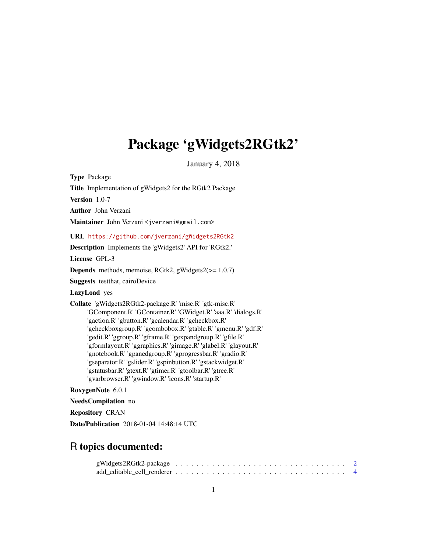# Package 'gWidgets2RGtk2'

January 4, 2018

<span id="page-0-0"></span>Type Package

Title Implementation of gWidgets2 for the RGtk2 Package

Version 1.0-7

Author John Verzani

Maintainer John Verzani <jverzani@gmail.com>

URL <https://github.com/jverzani/gWidgets2RGtk2>

Description Implements the 'gWidgets2' API for 'RGtk2.'

License GPL-3

Depends methods, memoise, RGtk2, gWidgets2(>= 1.0.7)

Suggests testthat, cairoDevice

LazyLoad yes

Collate 'gWidgets2RGtk2-package.R' 'misc.R' 'gtk-misc.R' 'GComponent.R' 'GContainer.R' 'GWidget.R' 'aaa.R' 'dialogs.R' 'gaction.R' 'gbutton.R' 'gcalendar.R' 'gcheckbox.R' 'gcheckboxgroup.R' 'gcombobox.R' 'gtable.R' 'gmenu.R' 'gdf.R' 'gedit.R' 'ggroup.R' 'gframe.R' 'gexpandgroup.R' 'gfile.R' 'gformlayout.R' 'ggraphics.R' 'gimage.R' 'glabel.R' 'glayout.R' 'gnotebook.R' 'gpanedgroup.R' 'gprogressbar.R' 'gradio.R' 'gseparator.R' 'gslider.R' 'gspinbutton.R' 'gstackwidget.R' 'gstatusbar.R' 'gtext.R' 'gtimer.R' 'gtoolbar.R' 'gtree.R' 'gvarbrowser.R' 'gwindow.R' 'icons.R' 'startup.R'

### RoxygenNote 6.0.1

NeedsCompilation no

Repository CRAN

Date/Publication 2018-01-04 14:48:14 UTC

## R topics documented: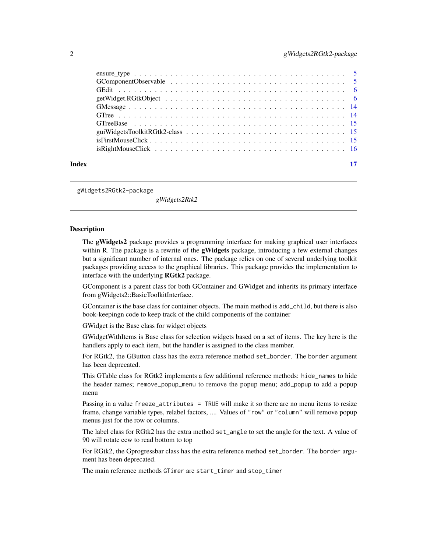<span id="page-1-0"></span>

|       | $isRight MouseClick \dots \dots \dots \dots \dots \dots \dots \dots \dots \dots \dots \dots \dots \dots \dots \dots \dots$ |  |
|-------|----------------------------------------------------------------------------------------------------------------------------|--|
|       |                                                                                                                            |  |
| Index |                                                                                                                            |  |

gWidgets2RGtk2-package

*gWidgets2Rtk2*

### **Description**

The gWidgets2 package provides a programming interface for making graphical user interfaces within R. The package is a rewrite of the **gWidgets** package, introducing a few external changes but a significant number of internal ones. The package relies on one of several underlying toolkit packages providing access to the graphical libraries. This package provides the implementation to interface with the underlying RGtk2 package.

GComponent is a parent class for both GContainer and GWidget and inherits its primary interface from gWidgets2::BasicToolkitInterface.

GContainer is the base class for container objects. The main method is add\_child, but there is also book-keepingn code to keep track of the child components of the container

GWidget is the Base class for widget objects

GWidgetWithItems is Base class for selection widgets based on a set of items. The key here is the handlers apply to each item, but the handler is assigned to the class member.

For RGtk2, the GButton class has the extra reference method set\_border. The border argument has been deprecated.

This GTable class for RGtk2 implements a few additional reference methods: hide\_names to hide the header names; remove\_popup\_menu to remove the popup menu; add\_popup to add a popup menu

Passing in a value freeze\_attributes = TRUE will make it so there are no menu items to resize frame, change variable types, relabel factors, .... Values of "row" or "column" will remove popup menus just for the row or columns.

The label class for RGtk2 has the extra method set\_angle to set the angle for the text. A value of 90 will rotate ccw to read bottom to top

For RGtk2, the Gprogressbar class has the extra reference method set\_border. The border argument has been deprecated.

The main reference methods GTimer are start\_timer and stop\_timer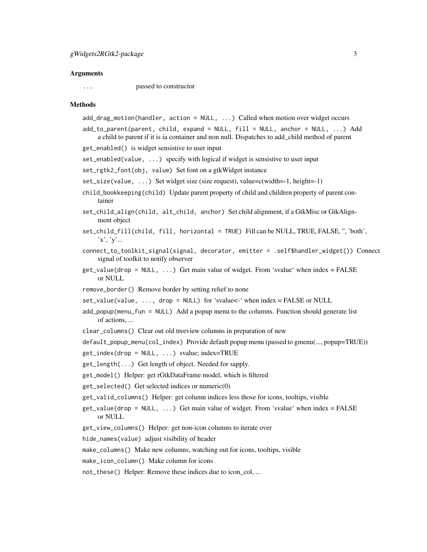#### Arguments

... passed to constructor

### Methods

- add\_drag\_motion(handler, action = NULL, ...) Called when motion over widget occurs
- add\_to\_parent(parent, child, expand = NULL, fill = NULL, anchor = NULL, ...) Add a child to parent if it is ia container and non null. Dispatches to add\_child method of parent
- get\_enabled() is widget sensistive to user input
- set\_enabled(value, ...) specify with logical if widget is sensistive to user input
- set\_rgtk2\_font(obj, value) Set font on a gtkWidget instance
- set\_size(value,  $\dots$ ) Set widget size (size request), value=c(width=-1, height=-1)
- child\_bookkeeping(child) Update parent property of child and children property of parent container
- set\_child\_align(child, alt\_child, anchor) Set child alignment, if a GtkMisc or GtkAlignment object
- set\_child\_fill(child, fill, horizontal = TRUE) Fill can be NULL, TRUE, FALSE, ", 'both', 'x', 'y'...
- connect\_to\_toolkit\_signal(signal, decorator, emitter = .self\$handler\_widget()) Connect signal of toolkit to notify observer
- $get_value(drop = NULL, ...)$  Get main value of widget. From 'svalue' when index = FALSE or NULL
- remove\_border() Remove border by setting relief to none

set\_value(value, ..., drop = NULL) for 'svalue<-' when index = FALSE or NULL

- add\_popup(menu\_fun = NULL) Add a popup menu to the columns. Function should generate list of actions, ...
- clear\_columns() Clear out old treeview columns in preparation of new

```
default_popup_menu(col_index) Provide default popup menu (passed to gmenu(..., popup=TRUE))
```
get\_index(drop = NULL, ...) svalue; index=TRUE

- get\_length(...) Get length of object. Needed for sapply.
- get\_model() Helper: get rGtkDataFrame model, which is filtered
- get\_selected() Get selected indices or numeric(0)
- get\_valid\_columns() Helper: get column indices less those for icons, tooltips, visible
- $get_value(drop = NULL, ...)$  Get main value of widget. From 'svalue' when index = FALSE or NULL
- get\_view\_columns() Helper: get non-icon columns to iterate over
- hide\_names(value) adjust visibility of header
- make\_columns() Make new columns, watching out for icons, tooltips, visible
- make\_icon\_column() Make column for icons
- not\_these() Helper: Remove these indices due to icon\_col, ...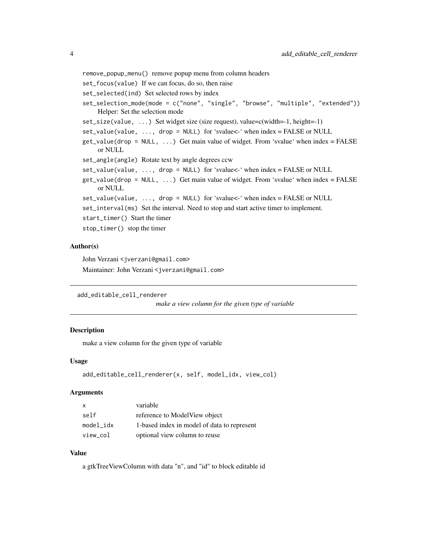```
remove_popup_menu() remove popup menu from column headers
set_focus(value) If we can focus, do so, then raise
set_selected(ind) Set selected rows by index
set_selection_mode(mode = c("none", "single", "browse", "multiple", "extended"))
    Helper: Set the selection mode
set_size(value, ...) Set widget size (size request), value=c(width=-1, height=-1)
set_value(value, ..., drop = NULL) for 'svalue<-' when index = FALSE or NULL
get_value(drop = NULL, ...) Get main value of widget. From 'svalue' when index = FALSE
    or NULL
set_angle(angle) Rotate text by angle degrees ccw
set_value(value, ..., drop = NULL) for 'svalue<-' when index = FALSE or NULL
get_value(drop = NULL, ...) Get main value of widget. From 'svalue' when index = FALSE
    or NULL
set_value(value, ..., drop = NULL) for 'svalue<-' when index = FALSE or NULL
set_interval(ms) Set the interval. Need to stop and start active timer to implement.
start_timer() Start the timer
stop_timer() stop the timer
```
#### Author(s)

John Verzani <jverzani@gmail.com> Maintainer: John Verzani <jverzani@gmail.com>

```
add_editable_cell_renderer
```
*make a view column for the given type of variable*

### Description

make a view column for the given type of variable

### Usage

```
add_editable_cell_renderer(x, self, model_idx, view_col)
```
#### Arguments

| $\mathsf{x}$ | variable                                    |
|--------------|---------------------------------------------|
| self         | reference to ModelView object               |
| model idx    | 1-based index in model of data to represent |
| view_col     | optional view column to reuse               |

### Value

a gtkTreeViewColumn with data "n", and "id" to block editable id

<span id="page-3-0"></span>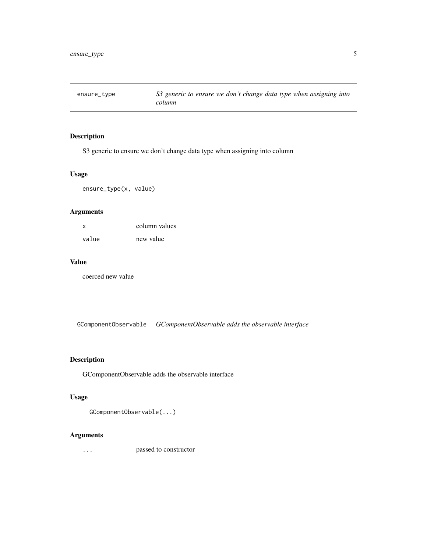<span id="page-4-0"></span>ensure\_type *S3 generic to ensure we don't change data type when assigning into column*

### Description

S3 generic to ensure we don't change data type when assigning into column

### Usage

ensure\_type(x, value)

### Arguments

| X.    | column values |
|-------|---------------|
| value | new value     |

### Value

coerced new value

GComponentObservable *GComponentObservable adds the observable interface*

### Description

GComponentObservable adds the observable interface

### Usage

```
GComponentObservable(...)
```
### Arguments

... passed to constructor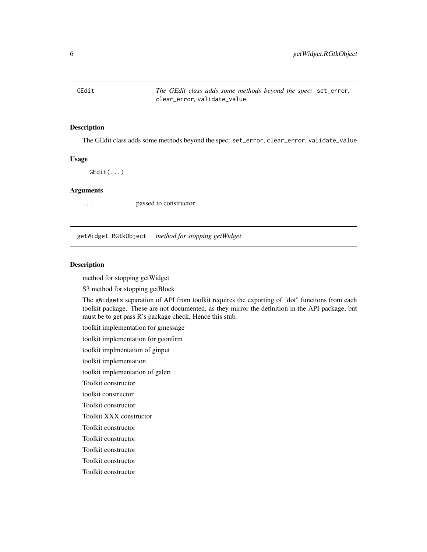<span id="page-5-0"></span>GEdit *The GEdit class adds some methods beyond the spec:* set\_error*,* clear\_error*,* validate\_value

### Description

The GEdit class adds some methods beyond the spec: set\_error, clear\_error, validate\_value

### Usage

GEdit(...)

### Arguments

... passed to constructor

getWidget.RGtkObject *method for stopping getWidget*

### **Description**

method for stopping getWidget

S3 method for stopping getBlock

The gWidgets separation of API from toolkit requires the exporting of "dot" functions from each toolkit package. These are not documented, as they mirror the definition in the API package, but must be to get pass R's package check. Hence this stub.

toolkit implementation for gmessage

toolkit implementation for gconfirm

toolkit implmentation of ginput

toolkit implementation

toolkit implementation of galert

Toolkit constructor

toolkit constructor

Toolkit constructor

Toolkit XXX constructor

Toolkit constructor

Toolkit constructor

Toolkit constructor

Toolkit constructor

Toolkit constructor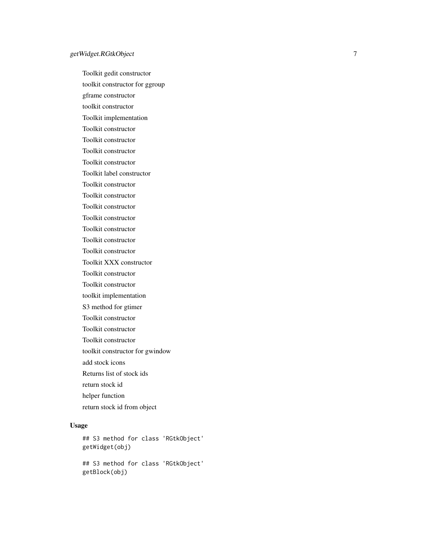Toolkit gedit constructor toolkit constructor for ggroup gframe constructor toolkit constructor Toolkit implementation Toolkit constructor Toolkit constructor Toolkit constructor Toolkit constructor Toolkit label constructor Toolkit constructor Toolkit constructor Toolkit constructor Toolkit constructor Toolkit constructor Toolkit constructor Toolkit constructor Toolkit XXX constructor Toolkit constructor Toolkit constructor toolkit implementation S3 method for gtimer Toolkit constructor Toolkit constructor Toolkit constructor toolkit constructor for gwindow add stock icons Returns list of stock ids return stock id helper function return stock id from object

### Usage

```
## S3 method for class 'RGtkObject'
getWidget(obj)
## S3 method for class 'RGtkObject'
getBlock(obj)
```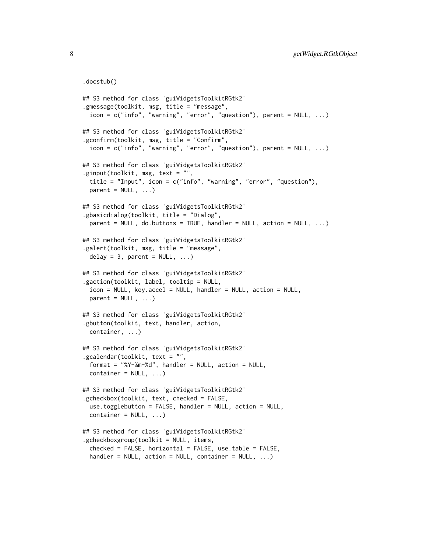```
.docstub()
## S3 method for class 'guiWidgetsToolkitRGtk2'
.gmessage(toolkit, msg, title = "message",
  icon = c("info", "warning", "error", "question"), parent = NULL, ...)## S3 method for class 'guiWidgetsToolkitRGtk2'
.gconfirm(toolkit, msg, title = "Confirm",
  icon = c("info", "warning", "error", "question"), parent = NULL, ...)## S3 method for class 'guiWidgetsToolkitRGtk2'
.ginput(toolkit, msg, text = "",
  title = "Input", icon = c("info", "warning", "error", "question"),
 parent = NULL, ...)## S3 method for class 'guiWidgetsToolkitRGtk2'
.gbasicdialog(toolkit, title = "Dialog",
 parent = NULL, do.buttons = TRUE, handler = NULL, action = NULL, \dots)
## S3 method for class 'guiWidgetsToolkitRGtk2'
.galert(toolkit, msg, title = "message",
 delay = 3, parent = NULL, ...)## S3 method for class 'guiWidgetsToolkitRGtk2'
.gaction(toolkit, label, tooltip = NULL,
  icon = NULL, key.accel = NULL, handler = NULL, action = NULL,
 parent = NULL, ...## S3 method for class 'guiWidgetsToolkitRGtk2'
.gbutton(toolkit, text, handler, action,
  container, ...)
## S3 method for class 'guiWidgetsToolkitRGtk2'
.gcalendar(toolkit, text = "",
  format = "XY-Sm-Sd", handler = NULL, action = NULL,container = NULL, ...)## S3 method for class 'guiWidgetsToolkitRGtk2'
.gcheckbox(toolkit, text, checked = FALSE,
  use.togglebutton = FALSE, handler = NULL, action = NULL,
  \text{container} = \text{NULL}, \ldots## S3 method for class 'guiWidgetsToolkitRGtk2'
.gcheckboxgroup(toolkit = NULL, items,
  checked = FALSE, horizontal = FALSE, use.table = FALSE,
  handler = NULL, action = NULL, container = NULL, ...)
```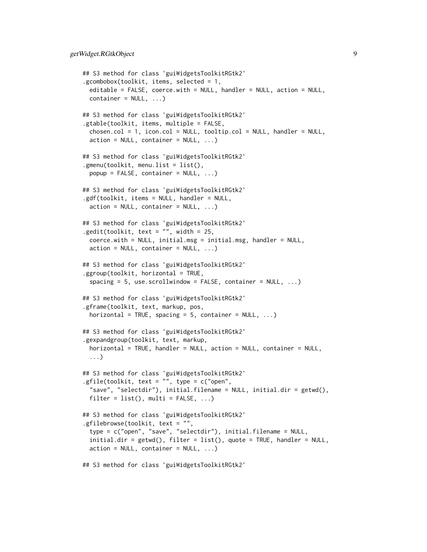```
## S3 method for class 'guiWidgetsToolkitRGtk2'
.gcombobox(toolkit, items, selected = 1,
 editable = FALSE, coerce.with = NULL, handler = NULL, action = NULL,
 container = NULL, ...)## S3 method for class 'guiWidgetsToolkitRGtk2'
.gtable(toolkit, items, multiple = FALSE,
 chosen.col = 1, icon.col = NULL, tooltip.col = NULL, handler = NULLaction = NULL, container = NULL, ...)## S3 method for class 'guiWidgetsToolkitRGtk2'
.gmenu(toolkit, menu.list = list(),
 popup = FALSE, container = NULL, ...)## S3 method for class 'guiWidgetsToolkitRGtk2'
.gdf(toolkit, items = NULL, handler = NULL,
 action = NULL, container = NULL, ...)## S3 method for class 'guiWidgetsToolkitRGtk2'
.gedit(toolkit, text = ", width = 25,
 coerce.with = NULL, initial.msg = initial.msg, handler = NULL,
 action = NULL, container = NULL, ...)## S3 method for class 'guiWidgetsToolkitRGtk2'
.ggroup(toolkit, horizontal = TRUE,
 spacing = 5, use.scrollwindow = FALSE, container = NULL, ...)## S3 method for class 'guiWidgetsToolkitRGtk2'
.gframe(toolkit, text, markup, pos,
 horizontal = TRUE, spacing = 5, container = NULL, \ldots)
## S3 method for class 'guiWidgetsToolkitRGtk2'
.gexpandgroup(toolkit, text, markup,
 horizontal = TRUE, handler = NULL, action = NULL, container = NULL,
 ...)
## S3 method for class 'guiWidgetsToolkitRGtk2'
.gfile(toolkit, text = "", type = c("open",
 "save", "selectdir"), initial.filename = NULL, initial.dir = getwd(),
 filter = list(), multi = FALSE, ...)
## S3 method for class 'guiWidgetsToolkitRGtk2'
.gfilebrowse(toolkit, text = "",
 type = c("open", "save", "selectdir"), initial.filename = NULL,
 initial.dir = getwd(), filter = list(), quote = TRUE, handler = NULL,
 action = NULL, container = NULL, ...)## S3 method for class 'guiWidgetsToolkitRGtk2'
```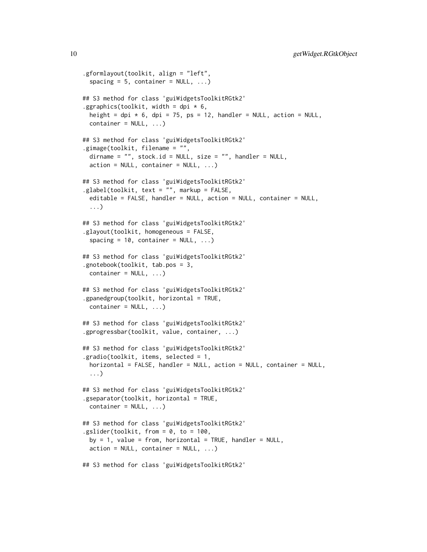```
.gformlayout(toolkit, align = "left",
  spacing = 5, container = NULL, ...)
## S3 method for class 'guiWidgetsToolkitRGtk2'
.ggraphics(toolkit, width = dpi * 6,
 height = dpi * 6, dpi = 75, ps = 12, handler = NULL, action = NULL,
 container = NULL, ...## S3 method for class 'guiWidgetsToolkitRGtk2'
.gimage(toolkit, filename = "",
  dirname = "", stock.id = NULL, size = "", handler = NULL,
  action = NULL, container = NULL, ...)## S3 method for class 'guiWidgetsToolkitRGtk2'
.glabel(toolkit, text = "", markup = FALSE,
  editable = FALSE, handler = NULL, action = NULL, container = NULL,
  ...)
## S3 method for class 'guiWidgetsToolkitRGtk2'
.glayout(toolkit, homogeneous = FALSE,
  spacing = 10, container = NULL, ...)## S3 method for class 'guiWidgetsToolkitRGtk2'
.gnotebook(toolkit, tab.pos = 3,
 container = NULL, ...)## S3 method for class 'guiWidgetsToolkitRGtk2'
.gpanedgroup(toolkit, horizontal = TRUE,
 container = NULL, ...)## S3 method for class 'guiWidgetsToolkitRGtk2'
.gprogressbar(toolkit, value, container, ...)
## S3 method for class 'guiWidgetsToolkitRGtk2'
.gradio(toolkit, items, selected = 1,
 horizontal = FALSE, handler = NULL, action = NULL, container = NULL,
  ...)
## S3 method for class 'guiWidgetsToolkitRGtk2'
.gseparator(toolkit, horizontal = TRUE,
 container = NULL, ...)## S3 method for class 'guiWidgetsToolkitRGtk2'
.gslider(toolkit, from = 0, to = 100,
 by = 1, value = from, horizontal = TRUE, handler = NULL,
  action = NULL, container = NULL, ...)## S3 method for class 'guiWidgetsToolkitRGtk2'
```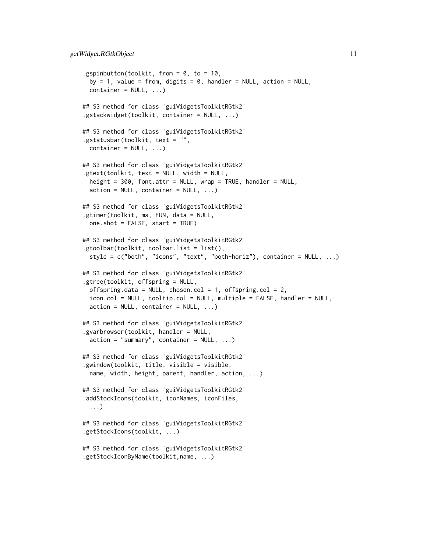```
.gspinbutton(toolkit, from = 0, to = 10,
 by = 1, value = from, digits = \theta, handler = NULL, action = NULL,
 container = NULL, ...)## S3 method for class 'guiWidgetsToolkitRGtk2'
.gstackwidget(toolkit, container = NULL, ...)
## S3 method for class 'guiWidgetsToolkitRGtk2'
.gstatusbar(toolkit, text = "",
 container = NULL, ...)## S3 method for class 'guiWidgetsToolkitRGtk2'
.gtext(toolkit, text = NULL, width = NULL,
  height = 300, font.attr = NULL, wrap = TRUE, handler = NULL,
  action = NULL, container = NULL, ...)## S3 method for class 'guiWidgetsToolkitRGtk2'
.gtimer(toolkit, ms, FUN, data = NULL,
 one.shot = FALSE, start = TRUE)
## S3 method for class 'guiWidgetsToolkitRGtk2'
.gtoolbar(toolkit, toolbar.list = list(),
  style = c("both", "icons", "text", "both-horiz"), container = NULL, ...)
## S3 method for class 'guiWidgetsToolkitRGtk2'
.gtree(toolkit, offspring = NULL,
  offspring.data = NULL, chosen.col = 1, offspring.col = 2,
  icon.col = NULL, tooltip.col = NULL, multiple = FALSE, handler = NULL,
  action = NULL, container = NULL, ...)## S3 method for class 'guiWidgetsToolkitRGtk2'
.gvarbrowser(toolkit, handler = NULL,
  action = "summary", container = NULL, ...)## S3 method for class 'guiWidgetsToolkitRGtk2'
.gwindow(toolkit, title, visible = visible,
  name, width, height, parent, handler, action, ...)
## S3 method for class 'guiWidgetsToolkitRGtk2'
.addStockIcons(toolkit, iconNames, iconFiles,
  ...)
## S3 method for class 'guiWidgetsToolkitRGtk2'
.getStockIcons(toolkit, ...)
## S3 method for class 'guiWidgetsToolkitRGtk2'
.getStockIconByName(toolkit,name, ...)
```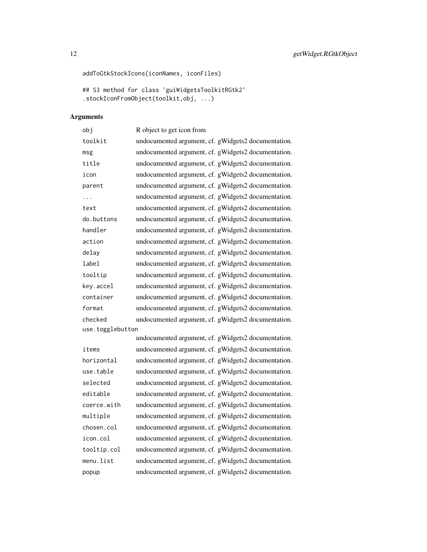```
addToGtkStockIcons(iconNames, iconFiles)
```

```
## S3 method for class 'guiWidgetsToolkitRGtk2'
.stockIconFromObject(toolkit,obj, ...)
```
### Arguments

| obj              | R object to get icon from                           |
|------------------|-----------------------------------------------------|
| toolkit          | undocumented argument, cf. gWidgets2 documentation. |
| msg              | undocumented argument, cf. gWidgets2 documentation. |
| title            | undocumented argument, cf. gWidgets2 documentation. |
| icon             | undocumented argument, cf. gWidgets2 documentation. |
| parent           | undocumented argument, cf. gWidgets2 documentation. |
| .                | undocumented argument, cf. gWidgets2 documentation. |
| text             | undocumented argument, cf. gWidgets2 documentation. |
| do.buttons       | undocumented argument, cf. gWidgets2 documentation. |
| handler          | undocumented argument, cf. gWidgets2 documentation. |
| action           | undocumented argument, cf. gWidgets2 documentation. |
| delay            | undocumented argument, cf. gWidgets2 documentation. |
| label            | undocumented argument, cf. gWidgets2 documentation. |
| tooltip          | undocumented argument, cf. gWidgets2 documentation. |
| key.accel        | undocumented argument, cf. gWidgets2 documentation. |
| container        | undocumented argument, cf. gWidgets2 documentation. |
| format           | undocumented argument, cf. gWidgets2 documentation. |
| checked          | undocumented argument, cf. gWidgets2 documentation. |
| use.togglebutton |                                                     |

|             | undocumented argument, cf. gWidgets2 documentation. |
|-------------|-----------------------------------------------------|
| items       | undocumented argument, cf. gWidgets2 documentation. |
| horizontal  | undocumented argument, cf. gWidgets2 documentation. |
| use.table   | undocumented argument, cf. gWidgets2 documentation. |
| selected    | undocumented argument, cf. gWidgets2 documentation. |
| editable    | undocumented argument, cf. gWidgets2 documentation. |
| coerce.with | undocumented argument, cf. gWidgets2 documentation. |
| multiple    | undocumented argument, cf. gWidgets2 documentation. |
| chosen.col  | undocumented argument, cf. gWidgets2 documentation. |
| icon.col    | undocumented argument, cf. gWidgets2 documentation. |
| tooltip.col | undocumented argument, cf. gWidgets2 documentation. |
| menu.list   | undocumented argument, cf. gWidgets2 documentation. |
| popup       | undocumented argument, cf. gWidgets2 documentation. |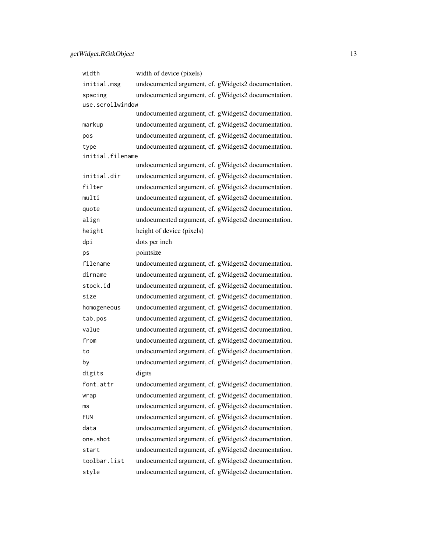### getWidget.RGtkObject 13

| width            | width of device (pixels)                            |
|------------------|-----------------------------------------------------|
| initial.msg      | undocumented argument, cf. gWidgets2 documentation. |
| spacing          | undocumented argument, cf. gWidgets2 documentation. |
| use.scrollwindow |                                                     |
|                  | undocumented argument, cf. gWidgets2 documentation. |
| markup           | undocumented argument, cf. gWidgets2 documentation. |
| pos              | undocumented argument, cf. gWidgets2 documentation. |
| type             | undocumented argument, cf. gWidgets2 documentation. |
| initial.filename |                                                     |
|                  | undocumented argument, cf. gWidgets2 documentation. |
| initial.dir      | undocumented argument, cf. gWidgets2 documentation. |
| filter           | undocumented argument, cf. gWidgets2 documentation. |
| multi            | undocumented argument, cf. gWidgets2 documentation. |
| quote            | undocumented argument, cf. gWidgets2 documentation. |
| align            | undocumented argument, cf. gWidgets2 documentation. |
| height           | height of device (pixels)                           |
| dpi              | dots per inch                                       |
| ps               | pointsize                                           |
| filename         | undocumented argument, cf. gWidgets2 documentation. |
| dirname          | undocumented argument, cf. gWidgets2 documentation. |
| stock.id         | undocumented argument, cf. gWidgets2 documentation. |
| size             | undocumented argument, cf. gWidgets2 documentation. |
| homogeneous      | undocumented argument, cf. gWidgets2 documentation. |
| tab.pos          | undocumented argument, cf. gWidgets2 documentation. |
| value            | undocumented argument, cf. gWidgets2 documentation. |
| from             | undocumented argument, cf. gWidgets2 documentation. |
| to               | undocumented argument, cf. gWidgets2 documentation. |
| by               | undocumented argument, cf. gWidgets2 documentation. |
| digits           | digits                                              |
| font.attr        | undocumented argument, cf. gWidgets2 documentation. |
| wrap             | undocumented argument, cf. gWidgets2 documentation. |
| ms               | undocumented argument, cf. gWidgets2 documentation. |
| <b>FUN</b>       | undocumented argument, cf. gWidgets2 documentation. |
| data             | undocumented argument, cf. gWidgets2 documentation. |
| one.shot         | undocumented argument, cf. gWidgets2 documentation. |
| start            | undocumented argument, cf. gWidgets2 documentation. |
| toolbar.list     | undocumented argument, cf. gWidgets2 documentation. |
| style            | undocumented argument, cf. gWidgets2 documentation. |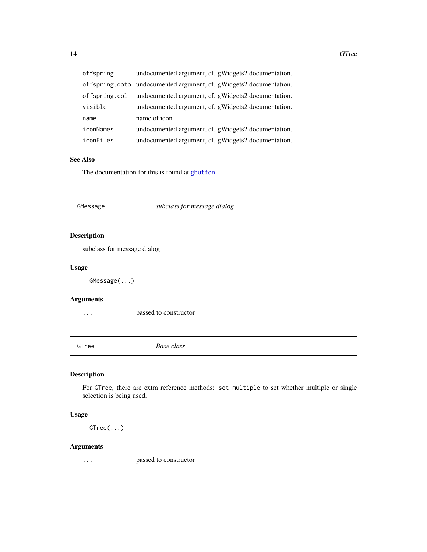<span id="page-13-0"></span>

| offspring     | undocumented argument, cf. gWidgets2 documentation.                |
|---------------|--------------------------------------------------------------------|
|               | offspring.data undocumented argument, cf. gWidgets2 documentation. |
| offspring.col | undocumented argument, cf. gWidgets2 documentation.                |
| visible       | undocumented argument, cf. gWidgets2 documentation.                |
| name          | name of icon                                                       |
| iconNames     | undocumented argument, cf. gWidgets2 documentation.                |
| iconFiles     | undocumented argument, cf. gWidgets2 documentation.                |

### See Also

The documentation for this is found at [gbutton](#page-0-0).

### GMessage *subclass for message dialog*

### Description

subclass for message dialog

### Usage

GMessage(...)

### Arguments

... passed to constructor

GTree *Base class*

### Description

For GTree, there are extra reference methods: set\_multiple to set whether multiple or single selection is being used.

### Usage

GTree(...)

### Arguments

... passed to constructor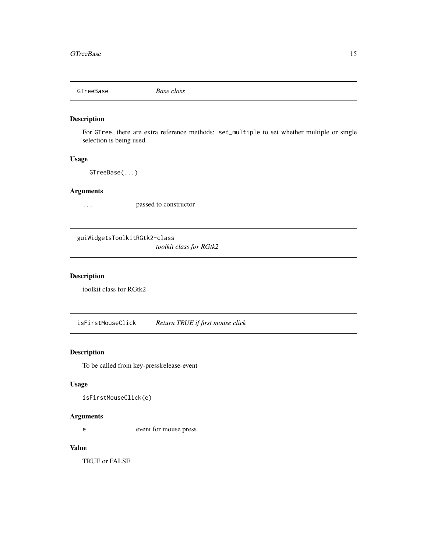<span id="page-14-0"></span>GTreeBase *Base class*

### Description

For GTree, there are extra reference methods: set\_multiple to set whether multiple or single selection is being used.

### Usage

GTreeBase(...)

### Arguments

... passed to constructor

guiWidgetsToolkitRGtk2-class

*toolkit class for RGtk2*

### Description

toolkit class for RGtk2

isFirstMouseClick *Return TRUE if first mouse click*

### Description

To be called from key-presslrelease-event

### Usage

isFirstMouseClick(e)

### Arguments

e event for mouse press

### Value

TRUE or FALSE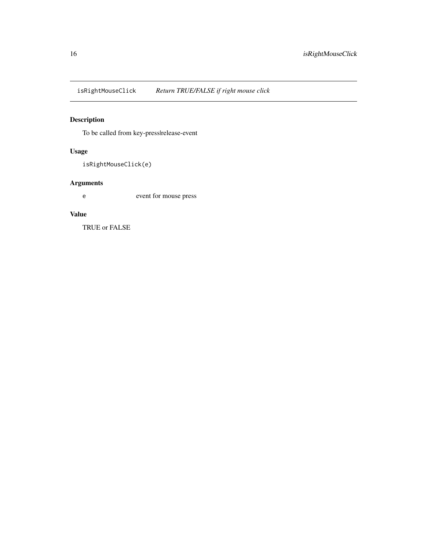<span id="page-15-0"></span>isRightMouseClick *Return TRUE/FALSE if right mouse click*

### Description

To be called from key-presslrelease-event

### Usage

isRightMouseClick(e)

### Arguments

e event for mouse press

### Value

TRUE or FALSE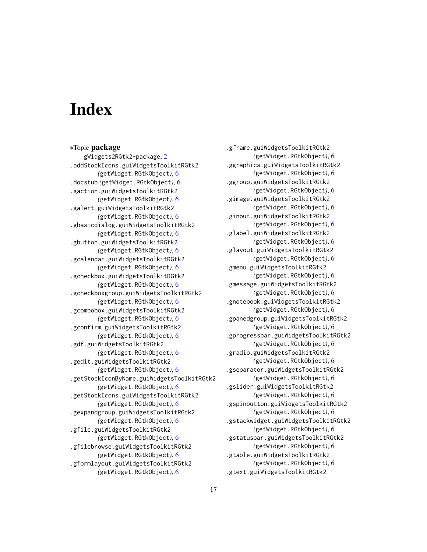# <span id="page-16-0"></span>Index

∗Topic package gWidgets2RGtk2-package, [2](#page-1-0) .addStockIcons.guiWidgetsToolkitRGtk2 *(*getWidget.RGtkObject*)*, [6](#page-5-0) .docstub *(*getWidget.RGtkObject*)*, [6](#page-5-0) .gaction.guiWidgetsToolkitRGtk2 *(*getWidget.RGtkObject*)*, [6](#page-5-0) .galert.guiWidgetsToolkitRGtk2 *(*getWidget.RGtkObject*)*, [6](#page-5-0) .gbasicdialog.guiWidgetsToolkitRGtk2 *(*getWidget.RGtkObject*)*, [6](#page-5-0) .gbutton.guiWidgetsToolkitRGtk2 *(*getWidget.RGtkObject*)*, [6](#page-5-0) .gcalendar.guiWidgetsToolkitRGtk2 *(*getWidget.RGtkObject*)*, [6](#page-5-0) .gcheckbox.guiWidgetsToolkitRGtk2 *(*getWidget.RGtkObject*)*, [6](#page-5-0) .gcheckboxgroup.guiWidgetsToolkitRGtk2 *(*getWidget.RGtkObject*)*, [6](#page-5-0) .gcombobox.guiWidgetsToolkitRGtk2 *(*getWidget.RGtkObject*)*, [6](#page-5-0) .gconfirm.guiWidgetsToolkitRGtk2 *(*getWidget.RGtkObject*)*, [6](#page-5-0) .gdf.guiWidgetsToolkitRGtk2 *(*getWidget.RGtkObject*)*, [6](#page-5-0) .gedit.guiWidgetsToolkitRGtk2 *(*getWidget.RGtkObject*)*, [6](#page-5-0) .getStockIconByName.guiWidgetsToolkitRGtk2 *(*getWidget.RGtkObject*)*, [6](#page-5-0) .getStockIcons.guiWidgetsToolkitRGtk2 *(*getWidget.RGtkObject*)*, [6](#page-5-0) .gexpandgroup.guiWidgetsToolkitRGtk2 *(*getWidget.RGtkObject*)*, [6](#page-5-0) .gfile.guiWidgetsToolkitRGtk2 *(*getWidget.RGtkObject*)*, [6](#page-5-0) .gfilebrowse.guiWidgetsToolkitRGtk2 *(*getWidget.RGtkObject*)*, [6](#page-5-0) .gformlayout.guiWidgetsToolkitRGtk2 *(*getWidget.RGtkObject*)*, [6](#page-5-0)

.gframe.guiWidgetsToolkitRGtk2 *(*getWidget.RGtkObject*)*, [6](#page-5-0) .ggraphics.guiWidgetsToolkitRGtk2 *(*getWidget.RGtkObject*)*, [6](#page-5-0) .ggroup.guiWidgetsToolkitRGtk2 *(*getWidget.RGtkObject*)*, [6](#page-5-0) .gimage.guiWidgetsToolkitRGtk2 *(*getWidget.RGtkObject*)*, [6](#page-5-0) .ginput.guiWidgetsToolkitRGtk2 *(*getWidget.RGtkObject*)*, [6](#page-5-0) .glabel.guiWidgetsToolkitRGtk2 *(*getWidget.RGtkObject*)*, [6](#page-5-0) .glayout.guiWidgetsToolkitRGtk2 *(*getWidget.RGtkObject*)*, [6](#page-5-0) .gmenu.guiWidgetsToolkitRGtk2 *(*getWidget.RGtkObject*)*, [6](#page-5-0) .gmessage.guiWidgetsToolkitRGtk2 *(*getWidget.RGtkObject*)*, [6](#page-5-0) .gnotebook.guiWidgetsToolkitRGtk2 *(*getWidget.RGtkObject*)*, [6](#page-5-0) .gpanedgroup.guiWidgetsToolkitRGtk2 *(*getWidget.RGtkObject*)*, [6](#page-5-0) .gprogressbar.guiWidgetsToolkitRGtk2 *(*getWidget.RGtkObject*)*, [6](#page-5-0) .gradio.guiWidgetsToolkitRGtk2 *(*getWidget.RGtkObject*)*, [6](#page-5-0) .gseparator.guiWidgetsToolkitRGtk2 *(*getWidget.RGtkObject*)*, [6](#page-5-0) .gslider.guiWidgetsToolkitRGtk2 *(*getWidget.RGtkObject*)*, [6](#page-5-0) .gspinbutton.guiWidgetsToolkitRGtk2 *(*getWidget.RGtkObject*)*, [6](#page-5-0) .gstackwidget.guiWidgetsToolkitRGtk2 *(*getWidget.RGtkObject*)*, [6](#page-5-0) .gstatusbar.guiWidgetsToolkitRGtk2 *(*getWidget.RGtkObject*)*, [6](#page-5-0) .gtable.guiWidgetsToolkitRGtk2 *(*getWidget.RGtkObject*)*, [6](#page-5-0) .gtext.guiWidgetsToolkitRGtk2